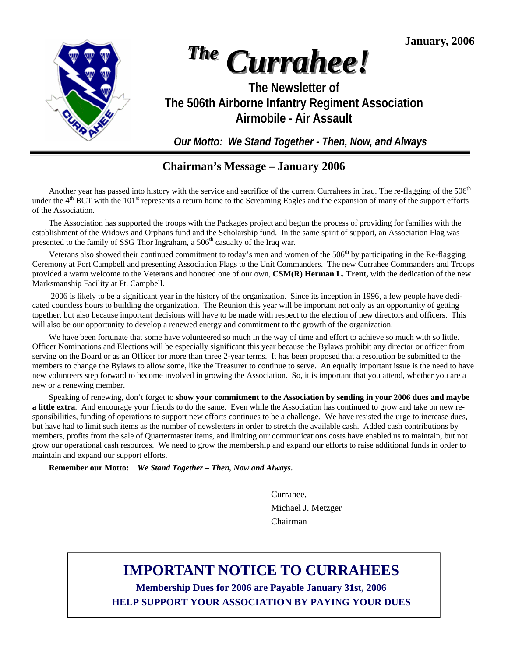**January, 2006** 



# *The Currahee!*

### **The Newsletter of The 506th Airborne Infantry Regiment Association Airmobile - Air Assault**

*Our Motto: We Stand Together - Then, Now, and Always* 

### **Chairman's Message – January 2006**

Another year has passed into history with the service and sacrifice of the current Currahees in Iraq. The re-flagging of the 506<sup>th</sup> under the  $4<sup>th</sup>$  BCT with the 101<sup>st</sup> represents a return home to the Screaming Eagles and the expansion of many of the support efforts of the Association.

 The Association has supported the troops with the Packages project and begun the process of providing for families with the establishment of the Widows and Orphans fund and the Scholarship fund. In the same spirit of support, an Association Flag was presented to the family of SSG Thor Ingraham, a 506<sup>th</sup> casualty of the Iraq war.

Veterans also showed their continued commitment to today's men and women of the  $506<sup>th</sup>$  by participating in the Re-flagging Ceremony at Fort Campbell and presenting Association Flags to the Unit Commanders. The new Currahee Commanders and Troops provided a warm welcome to the Veterans and honored one of our own, **CSM(R) Herman L. Trent,** with the dedication of the new Marksmanship Facility at Ft. Campbell.

 2006 is likely to be a significant year in the history of the organization. Since its inception in 1996, a few people have dedicated countless hours to building the organization. The Reunion this year will be important not only as an opportunity of getting together, but also because important decisions will have to be made with respect to the election of new directors and officers. This will also be our opportunity to develop a renewed energy and commitment to the growth of the organization.

 We have been fortunate that some have volunteered so much in the way of time and effort to achieve so much with so little. Officer Nominations and Elections will be especially significant this year because the Bylaws prohibit any director or officer from serving on the Board or as an Officer for more than three 2-year terms. It has been proposed that a resolution be submitted to the members to change the Bylaws to allow some, like the Treasurer to continue to serve. An equally important issue is the need to have new volunteers step forward to become involved in growing the Association. So, it is important that you attend, whether you are a new or a renewing member.

 Speaking of renewing, don't forget to **show your commitment to the Association by sending in your 2006 dues and maybe a little extra**. And encourage your friends to do the same. Even while the Association has continued to grow and take on new responsibilities, funding of operations to support new efforts continues to be a challenge. We have resisted the urge to increase dues, but have had to limit such items as the number of newsletters in order to stretch the available cash. Added cash contributions by members, profits from the sale of Quartermaster items, and limiting our communications costs have enabled us to maintain, but not grow our operational cash resources. We need to grow the membership and expand our efforts to raise additional funds in order to maintain and expand our support efforts.

**Remember our Motto:** *We Stand Together – Then, Now and Always***.** 

 Currahee, Michael J. Metzger Chairman

# **IMPORTANT NOTICE TO CURRAHEES**

**Membership Dues for 2006 are Payable January 31st, 2006 HELP SUPPORT YOUR ASSOCIATION BY PAYING YOUR DUES**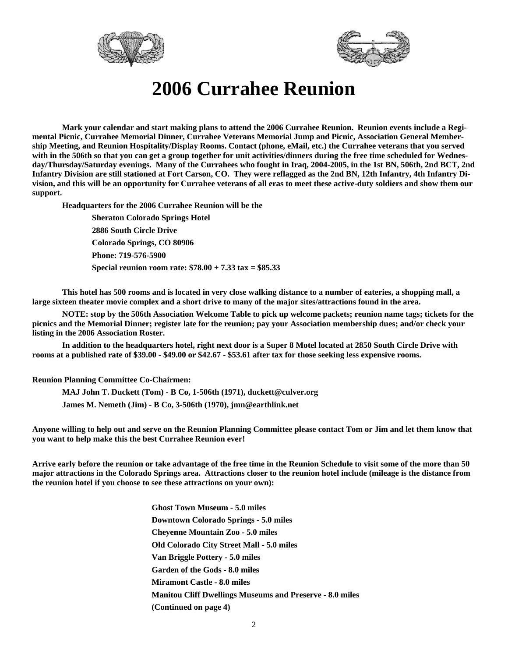



# **2006 Currahee Reunion**

 **Mark your calendar and start making plans to attend the 2006 Currahee Reunion. Reunion events include a Regimental Picnic, Currahee Memorial Dinner, Currahee Veterans Memorial Jump and Picnic, Association General Membership Meeting, and Reunion Hospitality/Display Rooms. Contact (phone, eMail, etc.) the Currahee veterans that you served with in the 506th so that you can get a group together for unit activities/dinners during the free time scheduled for Wednesday/Thursday/Saturday evenings. Many of the Currahees who fought in Iraq, 2004-2005, in the 1st BN, 506th, 2nd BCT, 2nd Infantry Division are still stationed at Fort Carson, CO. They were reflagged as the 2nd BN, 12th Infantry, 4th Infantry Division, and this will be an opportunity for Currahee veterans of all eras to meet these active-duty soldiers and show them our support.** 

 **Headquarters for the 2006 Currahee Reunion will be the** 

 **Sheraton Colorado Springs Hotel 2886 South Circle Drive Colorado Springs, CO 80906 Phone: 719-576-5900 Special reunion room rate: \$78.00 + 7.33 tax = \$85.33** 

 **This hotel has 500 rooms and is located in very close walking distance to a number of eateries, a shopping mall, a large sixteen theater movie complex and a short drive to many of the major sites/attractions found in the area.** 

 **NOTE: stop by the 506th Association Welcome Table to pick up welcome packets; reunion name tags; tickets for the picnics and the Memorial Dinner; register late for the reunion; pay your Association membership dues; and/or check your listing in the 2006 Association Roster.** 

 **In addition to the headquarters hotel, right next door is a Super 8 Motel located at 2850 South Circle Drive with rooms at a published rate of \$39.00 - \$49.00 or \$42.67 - \$53.61 after tax for those seeking less expensive rooms.** 

**Reunion Planning Committee Co-Chairmen:** 

 **MAJ John T. Duckett (Tom) - B Co, 1-506th (1971), duckett@culver.org James M. Nemeth (Jim) - B Co, 3-506th (1970), jmn@earthlink.net** 

**Anyone willing to help out and serve on the Reunion Planning Committee please contact Tom or Jim and let them know that you want to help make this the best Currahee Reunion ever!** 

**Arrive early before the reunion or take advantage of the free time in the Reunion Schedule to visit some of the more than 50 major attractions in the Colorado Springs area. Attractions closer to the reunion hotel include (mileage is the distance from the reunion hotel if you choose to see these attractions on your own):** 

> **Ghost Town Museum - 5.0 miles Downtown Colorado Springs - 5.0 miles Cheyenne Mountain Zoo - 5.0 miles Old Colorado City Street Mall - 5.0 miles Van Briggle Pottery - 5.0 miles Garden of the Gods - 8.0 miles Miramont Castle - 8.0 miles Manitou Cliff Dwellings Museums and Preserve - 8.0 miles (Continued on page 4)**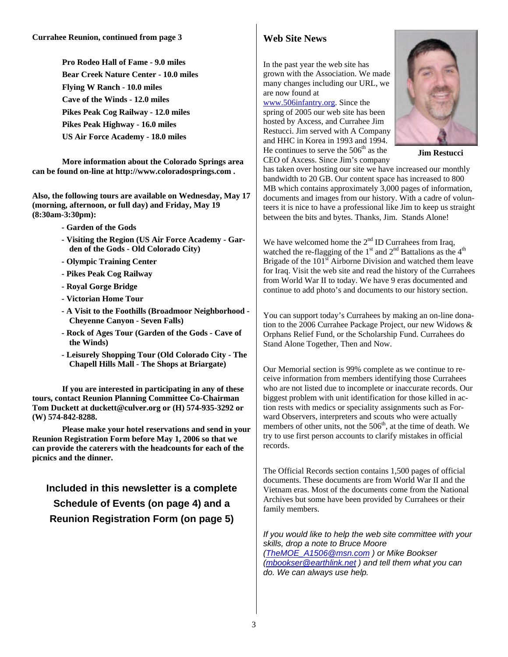**Pro Rodeo Hall of Fame - 9.0 miles Bear Creek Nature Center - 10.0 miles Flying W Ranch - 10.0 miles Cave of the Winds - 12.0 miles Pikes Peak Cog Railway - 12.0 miles Pikes Peak Highway - 16.0 miles US Air Force Academy - 18.0 miles** 

 **More information about the Colorado Springs area can be found on-line at http://www.coloradosprings.com .** 

**Also, the following tours are available on Wednesday, May 17 (morning, afternoon, or full day) and Friday, May 19 (8:30am-3:30pm):** 

- **Garden of the Gods**
- **Visiting the Region (US Air Force Academy Garden of the Gods - Old Colorado City)**
- **Olympic Training Center**
- **Pikes Peak Cog Railway**
- **Royal Gorge Bridge**
- **Victorian Home Tour**
- **A Visit to the Foothills (Broadmoor Neighborhood Cheyenne Canyon - Seven Falls)**
- **Rock of Ages Tour (Garden of the Gods Cave of the Winds)**
- **Leisurely Shopping Tour (Old Colorado City The Chapell Hills Mall - The Shops at Briargate)**

 **If you are interested in participating in any of these tours, contact Reunion Planning Committee Co-Chairman Tom Duckett at duckett@culver.org or (H) 574-935-3292 or (W) 574-842-8288.** 

 **Please make your hotel reservations and send in your Reunion Registration Form before May 1, 2006 so that we can provide the caterers with the headcounts for each of the picnics and the dinner.** 

**Included in this newsletter is a complete Schedule of Events (on page 4) and a Reunion Registration Form (on page 5)** 

### **Web Site News**

In the past year the web site has grown with the Association. We made many changes including our URL, we are now found at

www.506infantry.org. Since the spring of 2005 our web site has been hosted by Axcess, and Currahee Jim Restucci. Jim served with A Company and HHC in Korea in 1993 and 1994. He continues to serve the  $506<sup>th</sup>$  as the

CEO of Axcess. Since Jim's company



**Jim Restucci** 

has taken over hosting our site we have increased our monthly bandwidth to 20 GB. Our content space has increased to 800 MB which contains approximately 3,000 pages of information, documents and images from our history. With a cadre of volunteers it is nice to have a professional like Jim to keep us straight between the bits and bytes. Thanks, Jim. Stands Alone!

We have welcomed home the  $2<sup>nd</sup>$  ID Currahees from Iraq, watched the re-flagging of the 1<sup>st</sup> and  $2<sup>nd</sup>$  Battalions as the 4<sup>th</sup> Brigade of the  $101<sup>st</sup>$  Airborne Division and watched them leave for Iraq. Visit the web site and read the history of the Currahees from World War II to today. We have 9 eras documented and continue to add photo's and documents to our history section.

You can support today's Currahees by making an on-line donation to the 2006 Currahee Package Project, our new Widows & Orphans Relief Fund, or the Scholarship Fund. Currahees do Stand Alone Together, Then and Now.

Our Memorial section is 99% complete as we continue to receive information from members identifying those Currahees who are not listed due to incomplete or inaccurate records. Our biggest problem with unit identification for those killed in action rests with medics or speciality assignments such as Forward Observers, interpreters and scouts who were actually members of other units, not the  $506<sup>th</sup>$ , at the time of death. We try to use first person accounts to clarify mistakes in official records.

The Official Records section contains 1,500 pages of official documents. These documents are from World War II and the Vietnam eras. Most of the documents come from the National Archives but some have been provided by Currahees or their family members.

*If you would like to help the web site committee with your skills, drop a note to Bruce Moore (TheMOE\_A1506@msn.com ) or Mike Bookser (mbookser@earthlink.net ) and tell them what you can do. We can always use help.*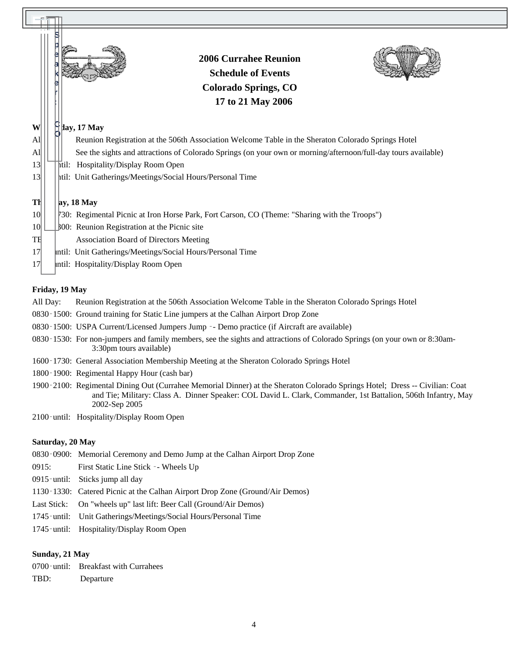|                              |                                                           | <b>2006 Currahee Reunion</b><br><b>Schedule of Events</b><br><b>Colorado Springs, CO</b><br>17 to 21 May 2006  |  |  |
|------------------------------|-----------------------------------------------------------|----------------------------------------------------------------------------------------------------------------|--|--|
| W                            |                                                           | $\parallel$ lay, 17 May                                                                                        |  |  |
| $\mathbf{A}$ l               |                                                           | Reunion Registration at the 506th Association Welcome Table in the Sheraton Colorado Springs Hotel             |  |  |
| $\mathbf{A}$ l               |                                                           | See the sights and attractions of Colorado Springs (on your own or morning/afternoon/full-day tours available) |  |  |
| 13                           | htil: Hospitality/Display Room Open                       |                                                                                                                |  |  |
| $\left  \frac{3}{2} \right $ | htil: Unit Gatherings/Meetings/Social Hours/Personal Time |                                                                                                                |  |  |
| Th                           |                                                           | $ay, 18$ May                                                                                                   |  |  |
| 10 <sup>l</sup>              |                                                           | [30: Regimental Picnic at Iron Horse Park, Fort Carson, CO (Theme: "Sharing with the Troops")                  |  |  |
| 10 <sup>l</sup>              |                                                           | <b>BOO:</b> Reunion Registration at the Picnic site                                                            |  |  |
| TE                           |                                                           | <b>Association Board of Directors Meeting</b>                                                                  |  |  |
| 17                           |                                                           | Intil: Unit Gatherings/Meetings/Social Hours/Personal Time                                                     |  |  |
| 17                           |                                                           | Intil: Hospitality/Display Room Open                                                                           |  |  |

### **Friday, 19 May**

All Day: Reunion Registration at the 506th Association Welcome Table in the Sheraton Colorado Springs Hotel

- 0830‑1500: Ground training for Static Line jumpers at the Calhan Airport Drop Zone
- 0830‑1500: USPA Current/Licensed Jumpers Jump ‑- Demo practice (if Aircraft are available)
- 0830‑1530: For non-jumpers and family members, see the sights and attractions of Colorado Springs (on your own or 8:30am- 3:30pm tours available)
- 1600‑1730: General Association Membership Meeting at the Sheraton Colorado Springs Hotel
- 1800‑1900: Regimental Happy Hour (cash bar)
- 1900‑2100: Regimental Dining Out (Currahee Memorial Dinner) at the Sheraton Colorado Springs Hotel; Dress -- Civilian: Coat and Tie; Military: Class A. Dinner Speaker: COL David L. Clark, Commander, 1st Battalion, 506th Infantry, May 2002-Sep 2005
- 2100‑until: Hospitality/Display Room Open

#### **Saturday, 20 May**

- 0830‑0900: Memorial Ceremony and Demo Jump at the Calhan Airport Drop Zone
- 0915: First Static Line Stick ‑- Wheels Up
- 0915‑until: Sticks jump all day
- 1130‑1330: Catered Picnic at the Calhan Airport Drop Zone (Ground/Air Demos)
- Last Stick: On "wheels up" last lift: Beer Call (Ground/Air Demos)
- 1745‑until: Unit Gatherings/Meetings/Social Hours/Personal Time
- 1745‐until: Hospitality/Display Room Open

### **Sunday, 21 May**

0700‑until: Breakfast with Currahees TBD: Departure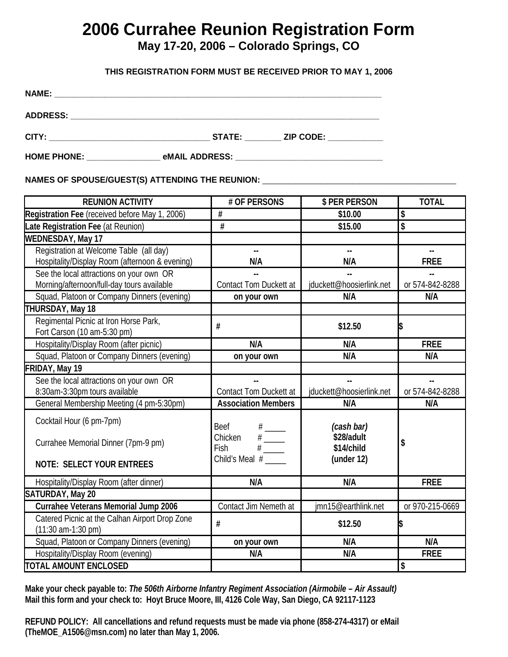# **2006 Currahee Reunion Registration Form**

### **May 17-20, 2006 – Colorado Springs, CO**

### **THIS REGISTRATION FORM MUST BE RECEIVED PRIOR TO MAY 1, 2006**

| <b>NAME:</b>    |               |                  |
|-----------------|---------------|------------------|
| <b>ADDRESS:</b> |               |                  |
| CITY:           | <b>STATE:</b> | <b>ZIP CODE:</b> |

**HOME PHONE: \_\_\_\_\_\_\_\_\_\_\_\_\_\_\_\_ eMAIL ADDRESS: \_\_\_\_\_\_\_\_\_\_\_\_\_\_\_\_\_\_\_\_\_\_\_\_\_\_\_\_\_\_\_\_** 

### NAMES OF SPOUSE/GUEST(S) ATTENDING THE REUNION: \_\_\_\_\_\_\_\_\_\_\_\_\_\_\_\_\_\_\_\_\_\_\_\_\_\_\_\_\_\_\_\_\_

| <b>REUNION ACTIVITY</b>                                                                | # OF PERSONS                                                                                                                                                       | \$ PER PERSON                          | <b>TOTAL</b>    |
|----------------------------------------------------------------------------------------|--------------------------------------------------------------------------------------------------------------------------------------------------------------------|----------------------------------------|-----------------|
| Registration Fee (received before May 1, 2006)                                         | #                                                                                                                                                                  | \$10.00                                | \$              |
| Late Registration Fee (at Reunion)                                                     | #                                                                                                                                                                  | \$15.00                                | \$              |
| <b>WEDNESDAY, May 17</b>                                                               |                                                                                                                                                                    |                                        |                 |
| Registration at Welcome Table (all day)                                                | цú.                                                                                                                                                                | цú.                                    |                 |
| Hospitality/Display Room (afternoon & evening)                                         | N/A                                                                                                                                                                | N/A                                    | <b>FREE</b>     |
| See the local attractions on your own OR                                               |                                                                                                                                                                    |                                        |                 |
| Morning/afternoon/full-day tours available                                             | <b>Contact Tom Duckett at</b>                                                                                                                                      | jduckett@hoosierlink.net               | or 574-842-8288 |
| Squad, Platoon or Company Dinners (evening)                                            | on your own                                                                                                                                                        | N/A                                    | N/A             |
| THURSDAY, May 18                                                                       |                                                                                                                                                                    |                                        |                 |
| Regimental Picnic at Iron Horse Park,<br>Fort Carson (10 am-5:30 pm)                   | #                                                                                                                                                                  | \$12.50                                |                 |
| Hospitality/Display Room (after picnic)                                                | N/A                                                                                                                                                                | N/A                                    | <b>FREE</b>     |
| Squad, Platoon or Company Dinners (evening)                                            | on your own                                                                                                                                                        | N/A                                    | N/A             |
| FRIDAY, May 19                                                                         |                                                                                                                                                                    |                                        |                 |
| See the local attractions on your own OR                                               | ۵۵                                                                                                                                                                 | u.                                     | ă.              |
| 8:30am-3:30pm tours available                                                          | <b>Contact Tom Duckett at</b>                                                                                                                                      | jduckett@hoosierlink.net               | or 574-842-8288 |
| General Membership Meeting (4 pm-5:30pm)                                               | <b>Association Members</b>                                                                                                                                         | N/A                                    | N/A             |
| Cocktail Hour (6 pm-7pm)<br>Currahee Memorial Dinner (7pm-9 pm)                        | Beef<br>$\begin{array}{c}\n# \quad \quad \quad \text{---} \\ \# \quad \quad \quad \text{---} \\ \# \quad \quad \quad \text{---} \\ \end{array}$<br>Chicken<br>Fish | (cash bar)<br>\$28/adult<br>\$14/child | \$              |
| <b>NOTE: SELECT YOUR ENTREES</b>                                                       | Child's Meal #                                                                                                                                                     | (under 12)                             |                 |
| Hospitality/Display Room (after dinner)                                                | N/A                                                                                                                                                                | N/A                                    | <b>FREE</b>     |
| SATURDAY, May 20                                                                       |                                                                                                                                                                    |                                        |                 |
| Currahee Veterans Memorial Jump 2006                                                   | Contact Jim Nemeth at                                                                                                                                              | jmn15@earthlink.net                    | or 970-215-0669 |
| Catered Picnic at the Calhan Airport Drop Zone<br>$(11:30 \text{ am-}1:30 \text{ pm})$ | #                                                                                                                                                                  | \$12.50                                |                 |
| Squad, Platoon or Company Dinners (evening)                                            | on your own                                                                                                                                                        | N/A                                    | N/A             |
| Hospitality/Display Room (evening)                                                     | N/A                                                                                                                                                                | N/A                                    | <b>FREE</b>     |
| <b>TOTAL AMOUNT ENCLOSED</b>                                                           |                                                                                                                                                                    |                                        | \$              |

**Make your check payable to:** *The 506th Airborne Infantry Regiment Association (Airmobile – Air Assault)* **Mail this form and your check to: Hoyt Bruce Moore, III, 4126 Cole Way, San Diego, CA 92117-1123** 

5 **REFUND POLICY: All cancellations and refund requests must be made via phone (858-274-4317) or eMail (TheMOE\_A1506@msn.com) no later than May 1, 2006.**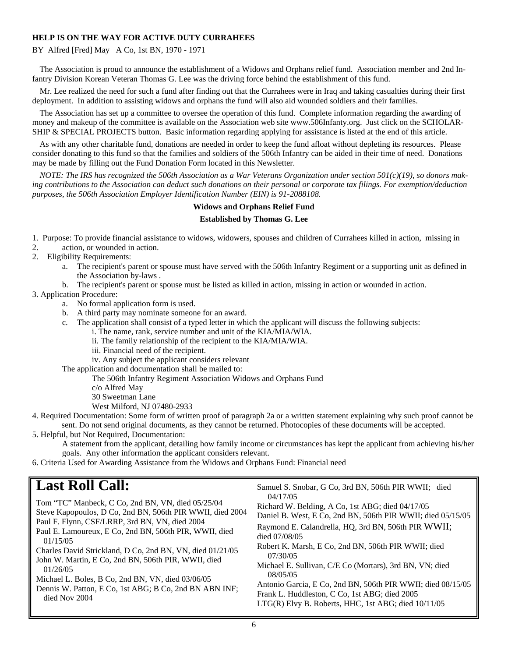### **HELP IS ON THE WAY FOR ACTIVE DUTY CURRAHEES**

### BY Alfred [Fred] May A Co, 1st BN, 1970 - 1971

 The Association is proud to announce the establishment of a Widows and Orphans relief fund. Association member and 2nd Infantry Division Korean Veteran Thomas G. Lee was the driving force behind the establishment of this fund.

 Mr. Lee realized the need for such a fund after finding out that the Currahees were in Iraq and taking casualties during their first deployment. In addition to assisting widows and orphans the fund will also aid wounded soldiers and their families.

 The Association has set up a committee to oversee the operation of this fund. Complete information regarding the awarding of money and makeup of the committee is available on the Association web site www.506Infanty.org. Just click on the SCHOLAR-SHIP & SPECIAL PROJECTS button. Basic information regarding applying for assistance is listed at the end of this article.

 As with any other charitable fund, donations are needed in order to keep the fund afloat without depleting its resources. Please consider donating to this fund so that the families and soldiers of the 506th Infantry can be aided in their time of need. Donations may be made by filling out the Fund Donation Form located in this Newsletter.

*NOTE: The IRS has recognized the 506th Association as a War Veterans Organization under section 501(c)(19), so donors making contributions to the Association can deduct such donations on their personal or corporate tax filings. For exemption/deduction purposes, the 506th Association Employer Identification Number (EIN) is 91-2088108.* 

#### **Widows and Orphans Relief Fund**

#### **Established by Thomas G. Lee**

1. Purpose: To provide financial assistance to widows, widowers, spouses and children of Currahees killed in action, missing in

- 2. action, or wounded in action.
- 2. Eligibility Requirements:
	- a. The recipient's parent or spouse must have served with the 506th Infantry Regiment or a supporting unit as defined in the Association by-laws .
	- b. The recipient's parent or spouse must be listed as killed in action, missing in action or wounded in action.

### 3. Application Procedure:

- a. No formal application form is used.
- b. A third party may nominate someone for an award.
- c. The application shall consist of a typed letter in which the applicant will discuss the following subjects:
	- i. The name, rank, service number and unit of the KIA/MIA/WIA.
	- ii. The family relationship of the recipient to the KIA/MIA/WIA.
	- iii. Financial need of the recipient.
	- iv. Any subject the applicant considers relevant

The application and documentation shall be mailed to:

The 506th Infantry Regiment Association Widows and Orphans Fund

- c/o Alfred May
- 30 Sweetman Lane

West Milford, NJ 07480-2933

4. Required Documentation: Some form of written proof of paragraph 2a or a written statement explaining why such proof cannot be sent. Do not send original documents, as they cannot be returned. Photocopies of these documents will be accepted.

5. Helpful, but Not Required, Documentation:

A statement from the applicant, detailing how family income or circumstances has kept the applicant from achieving his/her goals. Any other information the applicant considers relevant.

Samuel S. Snobar, G Co, 3rd BN, 506th PIR WWII; died

6. Criteria Used for Awarding Assistance from the Widows and Orphans Fund: Financial need

### **Last Roll Call:**

| died Nov 2004<br>LTG(R) Elvy B. Roberts, HHC, 1st ABG; died 10/11/05 |
|----------------------------------------------------------------------|
|----------------------------------------------------------------------|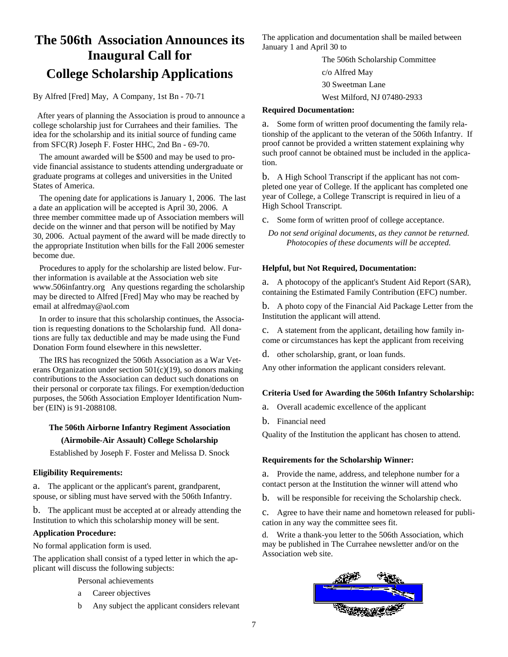## **The 506th Association Announces its Inaugural Call for College Scholarship Applications**

By Alfred [Fred] May, A Company, 1st Bn - 70-71

 After years of planning the Association is proud to announce a college scholarship just for Currahees and their families. The idea for the scholarship and its initial source of funding came from SFC(R) Joseph F. Foster HHC, 2nd Bn - 69-70.

 The amount awarded will be \$500 and may be used to provide financial assistance to students attending undergraduate or graduate programs at colleges and universities in the United States of America.

 The opening date for applications is January 1, 2006. The last a date an application will be accepted is April 30, 2006. A three member committee made up of Association members will decide on the winner and that person will be notified by May 30, 2006. Actual payment of the award will be made directly to the appropriate Institution when bills for the Fall 2006 semester become due.

 Procedures to apply for the scholarship are listed below. Further information is available at the Association web site www.506infantry.org Any questions regarding the scholarship may be directed to Alfred [Fred] May who may be reached by email at alfredmay@aol.com

 In order to insure that this scholarship continues, the Association is requesting donations to the Scholarship fund. All donations are fully tax deductible and may be made using the Fund Donation Form found elsewhere in this newsletter.

 The IRS has recognized the 506th Association as a War Veterans Organization under section  $501(c)(19)$ , so donors making contributions to the Association can deduct such donations on their personal or corporate tax filings. For exemption/deduction purposes, the 506th Association Employer Identification Number (EIN) is 91-2088108.

### **The 506th Airborne Infantry Regiment Association (Airmobile-Air Assault) College Scholarship**

Established by Joseph F. Foster and Melissa D. Snock

### **Eligibility Requirements:**

a. The applicant or the applicant's parent, grandparent, spouse, or sibling must have served with the 506th Infantry.

b. The applicant must be accepted at or already attending the Institution to which this scholarship money will be sent.

### **Application Procedure:**

No formal application form is used.

The application shall consist of a typed letter in which the applicant will discuss the following subjects:

Personal achievements

- a Career objectives
- b Any subject the applicant considers relevant

The application and documentation shall be mailed between January 1 and April 30 to

> The 506th Scholarship Committee c/o Alfred May 30 Sweetman Lane West Milford, NJ 07480-2933

#### **Required Documentation:**

a. Some form of written proof documenting the family relationship of the applicant to the veteran of the 506th Infantry. If proof cannot be provided a written statement explaining why such proof cannot be obtained must be included in the application.

b. A High School Transcript if the applicant has not completed one year of College. If the applicant has completed one year of College, a College Transcript is required in lieu of a High School Transcript.

c. Some form of written proof of college acceptance.

*Do not send original documents, as they cannot be returned. Photocopies of these documents will be accepted.* 

### **Helpful, but Not Required, Documentation:**

a. A photocopy of the applicant's Student Aid Report (SAR), containing the Estimated Family Contribution (EFC) number.

b. A photo copy of the Financial Aid Package Letter from the Institution the applicant will attend.

c. A statement from the applicant, detailing how family income or circumstances has kept the applicant from receiving

d. other scholarship, grant, or loan funds.

Any other information the applicant considers relevant.

### **Criteria Used for Awarding the 506th Infantry Scholarship:**

- a. Overall academic excellence of the applicant
- b. Financial need

Quality of the Institution the applicant has chosen to attend.

#### **Requirements for the Scholarship Winner:**

a. Provide the name, address, and telephone number for a contact person at the Institution the winner will attend who

b. will be responsible for receiving the Scholarship check.

c. Agree to have their name and hometown released for publication in any way the committee sees fit.

d. Write a thank-you letter to the 506th Association, which may be published in The Currahee newsletter and/or on the Association web site.

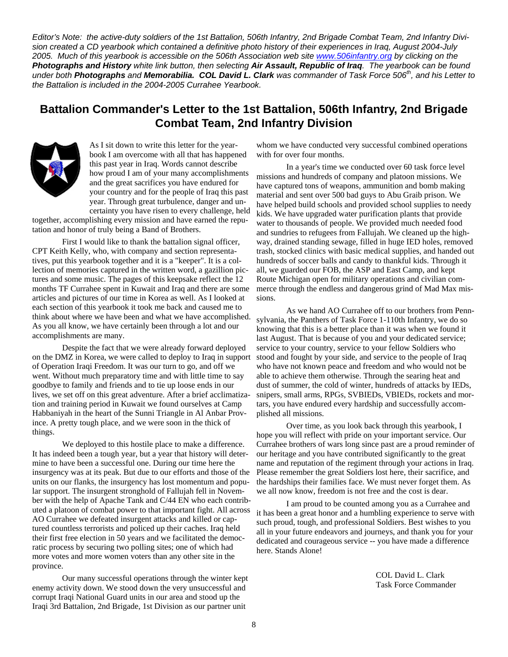*Editor's Note: the active-duty soldiers of the 1st Battalion, 506th Infantry, 2nd Brigade Combat Team, 2nd Infantry Division created a CD yearbook which contained a definitive photo history of their experiences in Iraq, August 2004-July 2005. Much of this yearbook is accessible on the 506th Association web site www.506infantry.org by clicking on the Photographs and History white link button, then selecting Air Assault, Republic of Iraq. The yearbook can be found under both Photographs and Memorabilia. COL David L. Clark was commander of Task Force 506th, and his Letter to the Battalion is included in the 2004-2005 Currahee Yearbook.* 

### **Battalion Commander's Letter to the 1st Battalion, 506th Infantry, 2nd Brigade Combat Team, 2nd Infantry Division**



As I sit down to write this letter for the yearbook I am overcome with all that has happened this past year in Iraq. Words cannot describe how proud I am of your many accomplishments and the great sacrifices you have endured for your country and for the people of Iraq this past year. Through great turbulence, danger and uncertainty you have risen to every challenge, held

together, accomplishing every mission and have earned the reputation and honor of truly being a Band of Brothers.

 First I would like to thank the battalion signal officer, CPT Keith Kelly, who, with company and section representatives, put this yearbook together and it is a "keeper". It is a collection of memories captured in the written word, a gazillion pictures and some music. The pages of this keepsake reflect the 12 months TF Currahee spent in Kuwait and Iraq and there are some articles and pictures of our time in Korea as well. As I looked at each section of this yearbook it took me back and caused me to think about where we have been and what we have accomplished. As you all know, we have certainly been through a lot and our accomplishments are many.

 Despite the fact that we were already forward deployed on the DMZ in Korea, we were called to deploy to Iraq in support of Operation Iraqi Freedom. It was our turn to go, and off we went. Without much preparatory time and with little time to say goodbye to family and friends and to tie up loose ends in our lives, we set off on this great adventure. After a brief acclimatization and training period in Kuwait we found ourselves at Camp Habbaniyah in the heart of the Sunni Triangle in Al Anbar Province. A pretty tough place, and we were soon in the thick of things.

 We deployed to this hostile place to make a difference. It has indeed been a tough year, but a year that history will determine to have been a successful one. During our time here the insurgency was at its peak. But due to our efforts and those of the units on our flanks, the insurgency has lost momentum and popular support. The insurgent stronghold of Fallujah fell in November with the help of Apache Tank and C/44 EN who each contributed a platoon of combat power to that important fight. All across AO Currahee we defeated insurgent attacks and killed or captured countless terrorists and policed up their caches. Iraq held their first free election in 50 years and we facilitated the democratic process by securing two polling sites; one of which had more votes and more women voters than any other site in the province.

 Our many successful operations through the winter kept enemy activity down. We stood down the very unsuccessful and corrupt Iraqi National Guard units in our area and stood up the Iraqi 3rd Battalion, 2nd Brigade, 1st Division as our partner unit

whom we have conducted very successful combined operations with for over four months.

 In a year's time we conducted over 60 task force level missions and hundreds of company and platoon missions. We have captured tons of weapons, ammunition and bomb making material and sent over 500 bad guys to Abu Graib prison. We have helped build schools and provided school supplies to needy kids. We have upgraded water purification plants that provide water to thousands of people. We provided much needed food and sundries to refugees from Fallujah. We cleaned up the highway, drained standing sewage, filled in huge IED holes, removed trash, stocked clinics with basic medical supplies, and handed out hundreds of soccer balls and candy to thankful kids. Through it all, we guarded our FOB, the ASP and East Camp, and kept Route Michigan open for military operations and civilian commerce through the endless and dangerous grind of Mad Max missions.

 As we hand AO Currahee off to our brothers from Pennsylvania, the Panthers of Task Force 1-110th Infantry, we do so knowing that this is a better place than it was when we found it last August. That is because of you and your dedicated service; service to your country, service to your fellow Soldiers who stood and fought by your side, and service to the people of Iraq who have not known peace and freedom and who would not be able to achieve them otherwise. Through the searing heat and dust of summer, the cold of winter, hundreds of attacks by IEDs, snipers, small arms, RPGs, SVBIEDs, VBIEDs, rockets and mortars, you have endured every hardship and successfully accomplished all missions.

 Over time, as you look back through this yearbook, I hope you will reflect with pride on your important service. Our Currahee brothers of wars long since past are a proud reminder of our heritage and you have contributed significantly to the great name and reputation of the regiment through your actions in Iraq. Please remember the great Soldiers lost here, their sacrifice, and the hardships their families face. We must never forget them. As we all now know, freedom is not free and the cost is dear.

 I am proud to be counted among you as a Currahee and it has been a great honor and a humbling experience to serve with such proud, tough, and professional Soldiers. Best wishes to you all in your future endeavors and journeys, and thank you for your dedicated and courageous service -- you have made a difference here. Stands Alone!

> COL David L. Clark Task Force Commander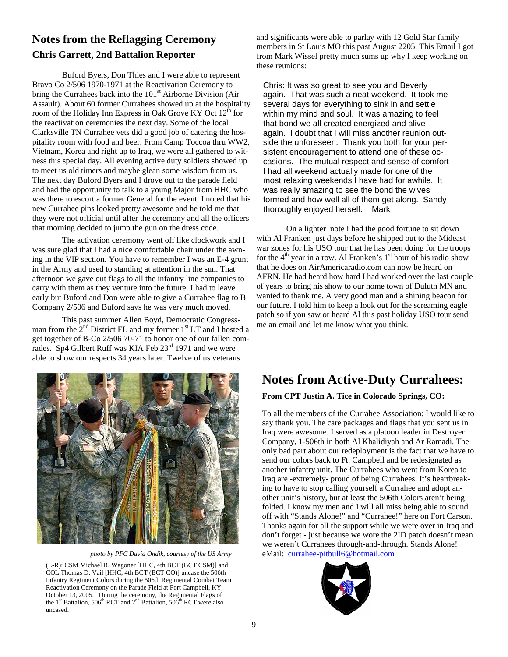### **Notes from the Reflagging Ceremony Chris Garrett, 2nd Battalion Reporter**

Buford Byers, Don Thies and I were able to represent Bravo Co 2/506 1970-1971 at the Reactivation Ceremony to bring the Currahees back into the  $101<sup>st</sup>$  Airborne Division (Air Assault). About 60 former Currahees showed up at the hospitality room of the Holiday Inn Express in Oak Grove KY Oct  $12<sup>th</sup>$  for the reactivation ceremonies the next day. Some of the local Clarksville TN Currahee vets did a good job of catering the hospitality room with food and beer. From Camp Toccoa thru WW2, Vietnam, Korea and right up to Iraq, we were all gathered to witness this special day. All evening active duty soldiers showed up to meet us old timers and maybe glean some wisdom from us. The next day Buford Byers and I drove out to the parade field and had the opportunity to talk to a young Major from HHC who was there to escort a former General for the event. I noted that his new Currahee pins looked pretty awesome and he told me that they were not official until after the ceremony and all the officers that morning decided to jump the gun on the dress code.

The activation ceremony went off like clockwork and I was sure glad that I had a nice comfortable chair under the awning in the VIP section. You have to remember I was an E-4 grunt in the Army and used to standing at attention in the sun. That afternoon we gave out flags to all the infantry line companies to carry with them as they venture into the future. I had to leave early but Buford and Don were able to give a Currahee flag to B Company 2/506 and Buford says he was very much moved.

This past summer Allen Boyd, Democratic Congressman from the  $2^{nd}$  District FL and my former  $1^{st}$  LT and I hosted a get together of B-Co 2/506 70-71 to honor one of our fallen comrades. Sp4 Gilbert Ruff was KIA Feb  $23<sup>rd</sup>$  1971 and we were able to show our respects 34 years later. Twelve of us veterans



*photo by PFC David Ondik, courtesy of the US Army* 

(L-R): CSM Michael R. Wagoner [HHC, 4th BCT (BCT CSM)] and COL Thomas D. Vail [HHC, 4th BCT (BCT CO)] uncase the 506th Infantry Regiment Colors during the 506th Regimental Combat Team Reactivation Ceremony on the Parade Field at Fort Campbell, KY, October 13, 2005. During the ceremony, the Regimental Flags of the  $1<sup>st</sup>$  Battalion,  $506<sup>th</sup>$  RCT and  $2<sup>nd</sup>$  Battalion,  $506<sup>th</sup>$  RCT were also uncased.

and significants were able to parlay with 12 Gold Star family members in St Louis MO this past August 2205. This Email I got from Mark Wissel pretty much sums up why I keep working on these reunions:

Chris: It was so great to see you and Beverly again. That was such a neat weekend. It took me several days for everything to sink in and settle within my mind and soul. It was amazing to feel that bond we all created energized and alive again. I doubt that I will miss another reunion outside the unforeseen. Thank you both for your persistent encouragement to attend one of these occasions. The mutual respect and sense of comfort I had all weekend actually made for one of the most relaxing weekends I have had for awhile. It was really amazing to see the bond the wives formed and how well all of them get along. Sandy thoroughly enjoyed herself. Mark

On a lighter note I had the good fortune to sit down with Al Franken just days before he shipped out to the Mideast war zones for his USO tour that he has been doing for the troops for the  $4<sup>th</sup>$  year in a row. Al Franken's  $1<sup>st</sup>$  hour of his radio show that he does on AirAmericaradio.com can now be heard on AFRN. He had heard how hard I had worked over the last couple of years to bring his show to our home town of Duluth MN and wanted to thank me. A very good man and a shining beacon for our future. I told him to keep a look out for the screaming eagle patch so if you saw or heard Al this past holiday USO tour send me an email and let me know what you think.

# **Notes from Active-Duty Currahees:**

### **From CPT Justin A. Tice in Colorado Springs, CO:**

To all the members of the Currahee Association: I would like to say thank you. The care packages and flags that you sent us in Iraq were awesome. I served as a platoon leader in Destroyer Company, 1-506th in both Al Khalidiyah and Ar Ramadi. The only bad part about our redeployment is the fact that we have to send our colors back to Ft. Campbell and be redesignated as another infantry unit. The Currahees who went from Korea to Iraq are -extremely- proud of being Currahees. It's heartbreaking to have to stop calling yourself a Currahee and adopt another unit's history, but at least the 506th Colors aren't being folded. I know my men and I will all miss being able to sound off with "Stands Alone!" and "Currahee!" here on Fort Carson. Thanks again for all the support while we were over in Iraq and don't forget - just because we wore the 2ID patch doesn't mean we weren't Currahees through-and-through. Stands Alone! eMail: currahee-pitbull6@hotmail.com

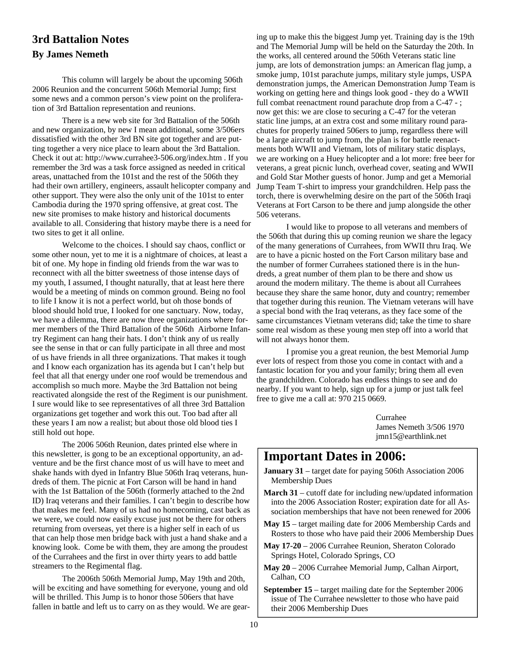### **3rd Battalion Notes By James Nemeth**

 This column will largely be about the upcoming 506th 2006 Reunion and the concurrent 506th Memorial Jump; first some news and a common person's view point on the proliferation of 3rd Battalion representation and reunions.

 There is a new web site for 3rd Battalion of the 506th and new organization, by new I mean additional, some 3/506ers dissatisfied with the other 3rd BN site got together and are putting together a very nice place to learn about the 3rd Battalion. Check it out at: http://www.currahee3-506.org/index.htm . If you remember the 3rd was a task force assigned as needed in critical areas, unattached from the 101st and the rest of the 506th they had their own artillery, engineers, assault helicopter company and other support. They were also the only unit of the 101st to enter Cambodia during the 1970 spring offensive, at great cost. The new site promises to make history and historical documents available to all. Considering that history maybe there is a need for two sites to get it all online.

 Welcome to the choices. I should say chaos, conflict or some other noun, yet to me it is a nightmare of choices, at least a bit of one. My hope in finding old friends from the war was to reconnect with all the bitter sweetness of those intense days of my youth, I assumed, I thought naturally, that at least here there would be a meeting of minds on common ground. Being no fool to life I know it is not a perfect world, but oh those bonds of blood should hold true, I looked for one sanctuary. Now, today, we have a dilemma, there are now three organizations where former members of the Third Battalion of the 506th Airborne Infantry Regiment can hang their hats. I don't think any of us really see the sense in that or can fully participate in all three and most of us have friends in all three organizations. That makes it tough and I know each organization has its agenda but I can't help but feel that all that energy under one roof would be tremendous and accomplish so much more. Maybe the 3rd Battalion not being reactivated alongside the rest of the Regiment is our punishment. I sure would like to see representatives of all three 3rd Battalion organizations get together and work this out. Too bad after all these years I am now a realist; but about those old blood ties I still hold out hope.

 The 2006 506th Reunion, dates printed else where in this newsletter, is gong to be an exceptional opportunity, an adventure and be the first chance most of us will have to meet and shake hands with dyed in Infantry Blue 506th Iraq veterans, hundreds of them. The picnic at Fort Carson will be hand in hand with the 1st Battalion of the 506th (formerly attached to the 2nd ID) Iraq veterans and their families. I can't begin to describe how that makes me feel. Many of us had no homecoming, cast back as we were, we could now easily excuse just not be there for others returning from overseas, yet there is a higher self in each of us that can help those men bridge back with just a hand shake and a knowing look. Come be with them, they are among the proudest of the Currahees and the first in over thirty years to add battle streamers to the Regimental flag.

 The 2006th 506th Memorial Jump, May 19th and 20th, will be exciting and have something for everyone, young and old will be thrilled. This Jump is to honor those 506ers that have fallen in battle and left us to carry on as they would. We are gear-

ing up to make this the biggest Jump yet. Training day is the 19th and The Memorial Jump will be held on the Saturday the 20th. In the works, all centered around the 506th Veterans static line jump, are lots of demonstration jumps: an American flag jump, a smoke jump, 101st parachute jumps, military style jumps, USPA demonstration jumps, the American Demonstration Jump Team is working on getting here and things look good - they do a WWII full combat reenactment round parachute drop from a C-47 - ; now get this: we are close to securing a C-47 for the veteran static line jumps, at an extra cost and some military round parachutes for properly trained 506ers to jump, regardless there will be a large aircraft to jump from, the plan is for battle reenactments both WWII and Vietnam, lots of military static displays, we are working on a Huey helicopter and a lot more: free beer for veterans, a great picnic lunch, overhead cover, seating and WWII and Gold Star Mother guests of honor. Jump and get a Memorial Jump Team T-shirt to impress your grandchildren. Help pass the torch, there is overwhelming desire on the part of the 506th Iraqi Veterans at Fort Carson to be there and jump alongside the other 506 veterans.

 I would like to propose to all veterans and members of the 506th that during this up coming reunion we share the legacy of the many generations of Currahees, from WWII thru Iraq. We are to have a picnic hosted on the Fort Carson military base and the number of former Currahees stationed there is in the hundreds, a great number of them plan to be there and show us around the modern military. The theme is about all Currahees because they share the same honor, duty and country; remember that together during this reunion. The Vietnam veterans will have a special bond with the Iraq veterans, as they face some of the same circumstances Vietnam veterans did; take the time to share some real wisdom as these young men step off into a world that will not always honor them.

 I promise you a great reunion, the best Memorial Jump ever lots of respect from those you come in contact with and a fantastic location for you and your family; bring them all even the grandchildren. Colorado has endless things to see and do nearby. If you want to help, sign up for a jump or just talk feel free to give me a call at: 970 215 0669.

> Currahee James Nemeth 3/506 1970 jmn15@earthlink.net

### **Important Dates in 2006:**

- **January 31**  target date for paying 506th Association 2006 Membership Dues
- **March 31** cutoff date for including new/updated information into the 2006 Association Roster; expiration date for all Association memberships that have not been renewed for 2006
- **May 15**  target mailing date for 2006 Membership Cards and Rosters to those who have paid their 2006 Membership Dues
- **May 17-20**  2006 Currahee Reunion, Sheraton Colorado Springs Hotel, Colorado Springs, CO
- **May 20**  2006 Currahee Memorial Jump, Calhan Airport, Calhan, CO
- **September 15**  target mailing date for the September 2006 issue of The Currahee newsletter to those who have paid their 2006 Membership Dues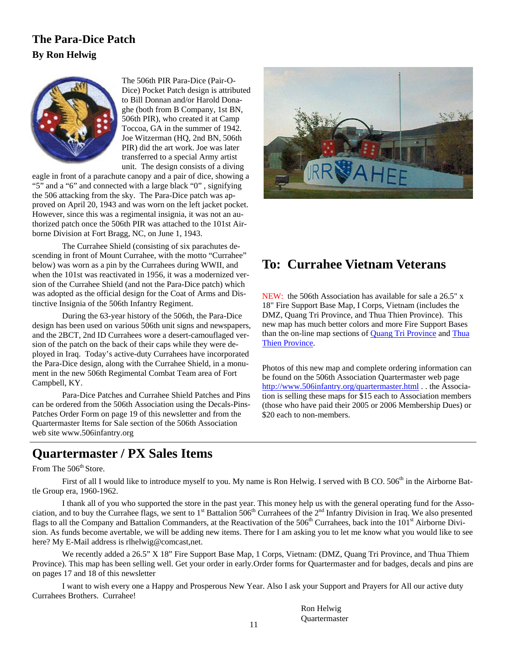### **The Para-Dice Patch By Ron Helwig**



The 506th PIR Para-Dice (Pair-O-Dice) Pocket Patch design is attributed to Bill Donnan and/or Harold Donaghe (both from B Company, 1st BN, 506th PIR), who created it at Camp Toccoa, GA in the summer of 1942. Joe Witzerman (HQ, 2nd BN, 506th PIR) did the art work. Joe was later transferred to a special Army artist unit. The design consists of a diving

eagle in front of a parachute canopy and a pair of dice, showing a "5" and a "6" and connected with a large black "0" , signifying the 506 attacking from the sky. The Para-Dice patch was approved on April 20, 1943 and was worn on the left jacket pocket. However, since this was a regimental insignia, it was not an authorized patch once the 506th PIR was attached to the 101st Airborne Division at Fort Bragg, NC, on June 1, 1943.

 The Currahee Shield (consisting of six parachutes descending in front of Mount Currahee, with the motto "Currahee" below) was worn as a pin by the Currahees during WWII, and when the 101st was reactivated in 1956, it was a modernized version of the Currahee Shield (and not the Para-Dice patch) which was adopted as the official design for the Coat of Arms and Distinctive Insignia of the 506th Infantry Regiment.

 During the 63-year history of the 506th, the Para-Dice design has been used on various 506th unit signs and newspapers, and the 2BCT, 2nd ID Currahees wore a desert-camouflaged version of the patch on the back of their caps while they were deployed in Iraq. Today's active-duty Currahees have incorporated the Para-Dice design, along with the Currahee Shield, in a monument in the new 506th Regimental Combat Team area of Fort Campbell, KY.

 Para-Dice Patches and Currahee Shield Patches and Pins can be ordered from the 506th Association using the Decals-Pins-Patches Order Form on page 19 of this newsletter and from the Quartermaster Items for Sale section of the 506th Association web site www.506infantry.org



### **To: Currahee Vietnam Veterans**

NEW: the 506th Association has available for sale a 26.5" x 18" Fire Support Base Map, I Corps, Vietnam (includes the DMZ, Quang Tri Province, and Thua Thien Province). This new map has much better colors and more Fire Support Bases than the on-line map sections of Quang Tri Province and Thua Thien Province.

Photos of this new map and complete ordering information can be found on the 506th Association Quartermaster web page http://www.506infantry.org/quartermaster.html . . the Association is selling these maps for \$15 each to Association members (those who have paid their 2005 or 2006 Membership Dues) or \$20 each to non-members.

### **Quartermaster / PX Sales Items**

From The 506<sup>th</sup> Store.

First of all I would like to introduce myself to you. My name is Ron Helwig. I served with B CO.  $506<sup>th</sup>$  in the Airborne Battle Group era, 1960-1962.

 I thank all of you who supported the store in the past year. This money help us with the general operating fund for the Association, and to buy the Currahee flags, we sent to 1<sup>st</sup> Battalion 506<sup>th</sup> Currahees of the 2<sup>nd</sup> Infantry Division in Iraq. We also presented flags to all the Company and Battalion Commanders, at the Reactivation of the 506<sup>th</sup> Currahees, back into the 101<sup>st</sup> Airborne Division. As funds become avertable, we will be adding new items. There for I am asking you to let me know what you would like to see here? My E-Mail address is rlhelwig@comcast,net.

We recently added a 26.5" X 18" Fire Support Base Map, 1 Corps, Vietnam: (DMZ, Quang Tri Province, and Thua Thiem Province). This map has been selling well. Get your order in early.Order forms for Quartermaster and for badges, decals and pins are on pages 17 and 18 of this newsletter

 I want to wish every one a Happy and Prosperous New Year. Also I ask your Support and Prayers for All our active duty Currahees Brothers. Currahee!

> Ron Helwig Quartermaster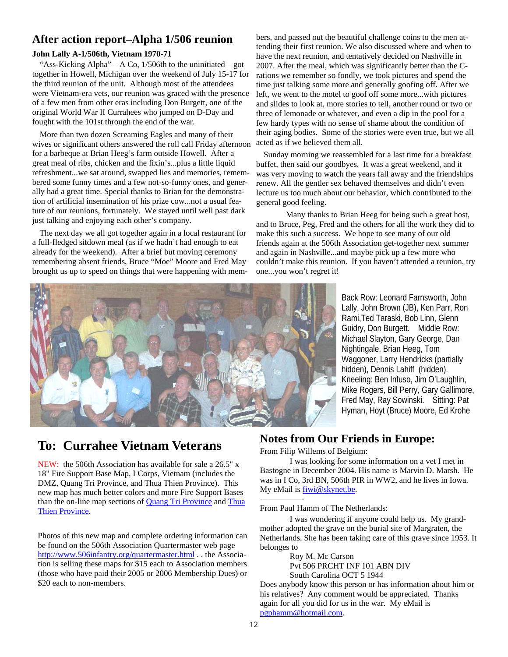### **After action report–Alpha 1/506 reunion**

### **John Lally A-1/506th, Vietnam 1970-71**

"Ass-Kicking Alpha" – A Co,  $1/506$ th to the uninitiated – got together in Howell, Michigan over the weekend of July 15-17 for the third reunion of the unit. Although most of the attendees were Vietnam-era vets, our reunion was graced with the presence of a few men from other eras including Don Burgett, one of the original World War II Currahees who jumped on D-Day and fought with the 101st through the end of the war.

More than two dozen Screaming Eagles and many of their wives or significant others answered the roll call Friday afternoon for a barbeque at Brian Heeg's farm outside Howell. After a great meal of ribs, chicken and the fixin's...plus a little liquid refreshment...we sat around, swapped lies and memories, remembered some funny times and a few not-so-funny ones, and generally had a great time. Special thanks to Brian for the demonstration of artificial insemination of his prize cow...not a usual feature of our reunions, fortunately. We stayed until well past dark just talking and enjoying each other's company.

The next day we all got together again in a local restaurant for a full-fledged sitdown meal (as if we hadn't had enough to eat already for the weekend). After a brief but moving ceremony remembering absent friends, Bruce "Moe" Moore and Fred May brought us up to speed on things that were happening with members, and passed out the beautiful challenge coins to the men attending their first reunion. We also discussed where and when to have the next reunion, and tentatively decided on Nashville in 2007. After the meal, which was significantly better than the Crations we remember so fondly, we took pictures and spend the time just talking some more and generally goofing off. After we left, we went to the motel to goof off some more...with pictures and slides to look at, more stories to tell, another round or two or three of lemonade or whatever, and even a dip in the pool for a few hardy types with no sense of shame about the condition of their aging bodies. Some of the stories were even true, but we all acted as if we believed them all.

Sunday morning we reassembled for a last time for a breakfast buffet, then said our goodbyes. It was a great weekend, and it was very moving to watch the years fall away and the friendships renew. All the gentler sex behaved themselves and didn't even lecture us too much about our behavior, which contributed to the general good feeling.

 Many thanks to Brian Heeg for being such a great host, and to Bruce, Peg, Fred and the others for all the work they did to make this such a success. We hope to see many of our old friends again at the 506th Association get-together next summer and again in Nashville...and maybe pick up a few more who couldn't make this reunion. If you haven't attended a reunion, try one...you won't regret it!



Back Row: Leonard Farnsworth, John Lally, John Brown (JB), Ken Parr, Ron Rami,Ted Taraski, Bob Linn, Glenn Guidry, Don Burgett. Middle Row: Michael Slayton, Gary George, Dan Nightingale, Brian Heeg, Tom Waggoner, Larry Hendricks (partially hidden), Dennis Lahiff (hidden). Kneeling: Ben Infuso, Jim O'Laughlin, Mike Rogers, Bill Perry, Gary Gallimore, Fred May, Ray Sowinski. Sitting: Pat Hyman, Hoyt (Bruce) Moore, Ed Krohe

### **To: Currahee Vietnam Veterans**

NEW: the 506th Association has available for sale a 26.5" x 18" Fire Support Base Map, I Corps, Vietnam (includes the DMZ, Quang Tri Province, and Thua Thien Province). This new map has much better colors and more Fire Support Bases than the on-line map sections of **Quang Tri Province** and Thua Thien Province.

Photos of this new map and complete ordering information can be found on the 506th Association Quartermaster web page http://www.506infantry.org/quartermaster.html . . the Association is selling these maps for \$15 each to Association members (those who have paid their 2005 or 2006 Membership Dues) or \$20 each to non-members.

### **Notes from Our Friends in Europe:**

From Filip Willems of Belgium:

 I was looking for some information on a vet I met in Bastogne in December 2004. His name is Marvin D. Marsh. He was in I Co, 3rd BN, 506th PIR in WW2, and he lives in Iowa. My eMail is fiwi@skynet.be.

—————- From Paul Hamm of The Netherlands:

 I was wondering if anyone could help us. My grandmother adopted the grave on the burial site of Margraten, the Netherlands. She has been taking care of this grave since 1953. It belonges to

> Roy M. Mc Carson Pvt 506 PRCHT INF 101 ABN DIV South Carolina OCT 5 1944

Does anybody know this person or has information about him or his relatives? Any comment would be appreciated. Thanks again for all you did for us in the war. My eMail is pgphamm@hotmail.com.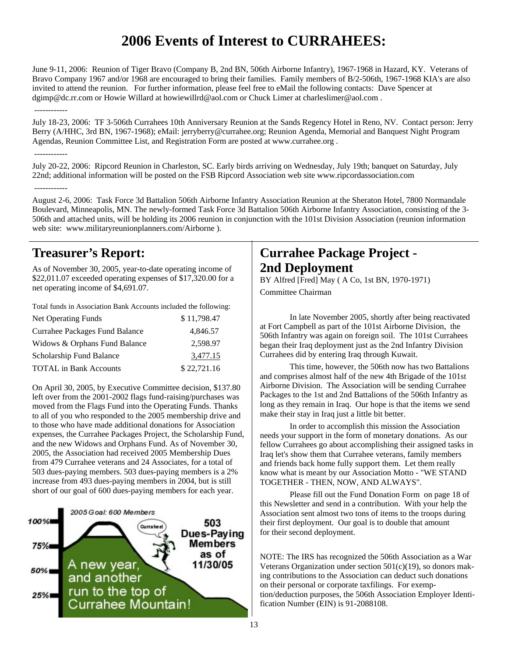# **2006 Events of Interest to CURRAHEES:**

June 9-11, 2006: Reunion of Tiger Bravo (Company B, 2nd BN, 506th Airborne Infantry), 1967-1968 in Hazard, KY. Veterans of Bravo Company 1967 and/or 1968 are encouraged to bring their families. Family members of B/2-506th, 1967-1968 KIA's are also invited to attend the reunion. For further information, please feel free to eMail the following contacts: Dave Spencer at dgimp@dc.rr.com or Howie Willard at howiewillrd@aol.com or Chuck Limer at charleslimer@aol.com .

#### ------------

July 18-23, 2006: TF 3-506th Currahees 10th Anniversary Reunion at the Sands Regency Hotel in Reno, NV. Contact person: Jerry Berry (A/HHC, 3rd BN, 1967-1968); eMail: jerryberry@currahee.org; Reunion Agenda, Memorial and Banquest Night Program Agendas, Reunion Committee List, and Registration Form are posted at www.currahee.org .

#### ------------

July 20-22, 2006: Ripcord Reunion in Charleston, SC. Early birds arriving on Wednesday, July 19th; banquet on Saturday, July 22nd; additional information will be posted on the FSB Ripcord Association web site www.ripcordassociation.com ------------

August 2-6, 2006: Task Force 3d Battalion 506th Airborne Infantry Association Reunion at the Sheraton Hotel, 7800 Normandale Boulevard, Minneapolis, MN. The newly-formed Task Force 3d Battalion 506th Airborne Infantry Association, consisting of the 3- 506th and attached units, will be holding its 2006 reunion in conjunction with the 101st Division Association (reunion information web site: www.militaryreunionplanners.com/Airborne ).

### **Treasurer's Report:**

As of November 30, 2005, year-to-date operating income of \$22,011.07 exceeded operating expenses of \$17,320.00 for a net operating income of \$4,691.07.

Total funds in Association Bank Accounts included the following:

| <b>Net Operating Funds</b>     | \$11,798.47 |
|--------------------------------|-------------|
| Currahee Packages Fund Balance | 4.846.57    |
| Widows & Orphans Fund Balance  | 2,598.97    |
| Scholarship Fund Balance       | 3,477.15    |
| <b>TOTAL</b> in Bank Accounts  | \$22,721.16 |

On April 30, 2005, by Executive Committee decision, \$137.80 left over from the 2001-2002 flags fund-raising/purchases was moved from the Flags Fund into the Operating Funds. Thanks to all of you who responded to the 2005 membership drive and to those who have made additional donations for Association expenses, the Currahee Packages Project, the Scholarship Fund, and the new Widows and Orphans Fund. As of November 30, 2005, the Association had received 2005 Membership Dues from 479 Currahee veterans and 24 Associates, for a total of 503 dues-paying members. 503 dues-paying members is a 2% increase from 493 dues-paying members in 2004, but is still short of our goal of 600 dues-paying members for each year.



### **Currahee Package Project - 2nd Deployment**

BY Alfred [Fred] May (A Co, 1st BN, 1970-1971) Committee Chairman

 In late November 2005, shortly after being reactivated at Fort Campbell as part of the 101st Airborne Division, the 506th Infantry was again on foreign soil. The 101st Currahees began their Iraq deployment just as the 2nd Infantry Division Currahees did by entering Iraq through Kuwait.

 This time, however, the 506th now has two Battalions and comprises almost half of the new 4th Brigade of the 101st Airborne Division. The Association will be sending Currahee Packages to the 1st and 2nd Battalions of the 506th Infantry as long as they remain in Iraq. Our hope is that the items we send make their stay in Iraq just a little bit better.

 In order to accomplish this mission the Association needs your support in the form of monetary donations. As our fellow Currahees go about accomplishing their assigned tasks in Iraq let's show them that Currahee veterans, family members and friends back home fully support them. Let them really know what is meant by our Association Motto - "WE STAND TOGETHER - THEN, NOW, AND ALWAYS".

 Please fill out the Fund Donation Form on page 18 of this Newsletter and send in a contribution. With your help the Association sent almost two tons of items to the troops during their first deployment. Our goal is to double that amount for their second deployment.

NOTE: The IRS has recognized the 506th Association as a War Veterans Organization under section  $501(c)(19)$ , so donors making contributions to the Association can deduct such donations on their personal or corporate taxfilings. For exemption/deduction purposes, the 506th Association Employer Identification Number (EIN) is 91-2088108.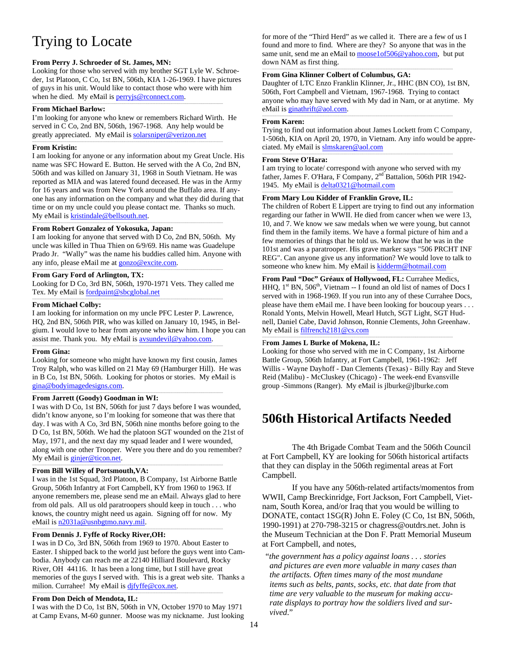# Trying to Locate

#### **From Perry J. Schroeder of St. James, MN:**

Looking for those who served with my brother SGT Lyle W. Schroeder, 1st Platoon, C Co, 1st BN, 506th, KIA 1-26-1969. I have pictures of guys in his unit. Would like to contact those who were with him when he died. My eMail is **perryjs@rconnect.com**.

#### **From Michael Barlow:**

I'm looking for anyone who knew or remembers Richard Wirth. He served in C Co, 2nd BN, 506th, 1967-1968. Any help would be greatly appreciated. My eMail is solarsniper@verizon.net

### **From Kristin:**

I am looking for anyone or any information about my Great Uncle. His name was SFC Howard E. Button. He served with the A Co, 2nd BN, 506th and was killed on January 31, 1968 in South Vietnam. He was reported as MIA and was latered found deceased. He was in the Army for 16 years and was from New York around the Buffalo area. If anyone has any information on the company and what they did during that time or on my uncle could you please contact me. Thanks so much. My eMail is kristindale@bellsouth.net.

### **From Robert Gonzalez of Yokosuka, Japan:**

I am looking for anyone that served with D Co, 2nd BN, 506th. My uncle was killed in Thua Thien on 6/9/69. His name was Guadelupe Prado Jr. "Wally" was the name his buddies called him. Anyone with any info, please eMail me at gonzo@excite.com.

### **From Gary Ford of Arlington, TX:**

Looking for D Co, 3rd BN, 506th, 1970-1971 Vets. They called me Tex. My eMail is **fordpaint@sbcglobal.net** ......................................................................................................................................................................................................................................

#### **From Michael Colby:**

I am looking for information on my uncle PFC Lester P. Lawrence, HQ, 2nd BN, 506th PIR, who was killed on January 10, 1945, in Belgium. I would love to hear from anyone who knew him. I hope you can assist me. Thank you. My eMail is avsundevil@yahoo.com.

#### **From Gina:**

Looking for someone who might have known my first cousin, James Troy Ralph, who was killed on 21 May 69 (Hamburger Hill). He was in B Co, 1st BN, 506th. Looking for photos or stories. My eMail is gina@bodyimagedesigns.com.

#### **From Jarrett (Goody) Goodman in WI:**

I was with D Co, 1st BN, 506th for just 7 days before I was wounded, didn't know anyone, so I'm looking for someone that was there that day. I was with A Co, 3rd BN, 506th nine months before going to the D Co, 1st BN, 506th. We had the platoon SGT wounded on the 21st of May, 1971, and the next day my squad leader and I were wounded, along with one other Trooper. Were you there and do you remember? My eMail is ginjer@ticon.net.

#### **From Bill Willey of Portsmouth,VA:**

I was in the 1st Squad, 3rd Platoon, B Company, 1st Airborne Battle Group, 506th Infantry at Fort Campbell, KY from 1960 to 1963. If anyone remembers me, please send me an eMail. Always glad to here from old pals. All us old paratroopers should keep in touch . . . who knows, the country might need us again. Signing off for now. My eMail is n2031a@usnbgtmo.navy.mil.

### **From Dennis J. Fyffe of Rocky River,OH:**

I was in D Co, 3rd BN, 506th from 1969 to 1970. About Easter to Easter. I shipped back to the world just before the guys went into Cambodia. Anybody can reach me at 22140 Hilliard Boulevard, Rocky River, OH 44116. It has been a long time, but I still have great memories of the guys I served with. This is a great web site. Thanks a milion. Currahee! My eMail is difyffe@cox.net.

#### **From Don Deich of Mendota, IL:**

I was with the D Co, 1st BN, 506th in VN, October 1970 to May 1971 at Camp Evans, M-60 gunner. Moose was my nickname. Just looking for more of the "Third Herd" as we called it. There are a few of us I found and more to find. Where are they? So anyone that was in the same unit, send me an eMail to moose1of506@yahoo.com, but put down NAM as first thing.

### **From Gina Klinner Colbert of Columbus, GA:**

Daughter of LTC Enzo Franklin Klinner, Jr., HHC (BN CO), 1st BN, 506th, Fort Campbell and Vietnam, 1967-1968. Trying to contact anyone who may have served with My dad in Nam, or at anytime. My eMail is ginathrift@aol.com.

#### **From Karen:**

Trying to find out information about James Lockett from C Company, 1-506th, KIA on April 20, 1970, in Vietnam. Any info would be appreciated. My eMail is slmskaren@aol.com

### **From Steve O'Hara:**

I am trying to locate/ correspond with anyone who served with my father, James F. O'Hara, F Company, 2<sup>nd</sup> Battalion, 506th PIR 1942-1945. My eMail is delta0321@hotmail.com

### **From Mary Lou Kidder of Franklin Grove, IL:**

The children of Robert E Lippert are trying to find out any information regarding our father in WWII. He died from cancer when we were 13, 10, and 7. We know we saw medals when we were young, but cannot find them in the family items. We have a formal picture of him and a few memories of things that he told us. We know that he was in the 101st and was a paratrooper. His grave marker says "506 PRCHT INF REG". Can anyone give us any information? We would love to talk to someone who knew him. My eMail is kidderm@hotmail.com

**From Paul "Doc" Gréaux of Hollywood, FL:** Currahee Medics, HHQ,  $1<sup>st</sup>$  BN,  $506<sup>th</sup>$ , Vietnam -- I found an old list of names of Docs I served with in 1968-1969. If you run into any of these Currahee Docs, please have them eMail me. I have been looking for boucoup years . . . Ronald Yonts, Melvin Howell, Mearl Hutch, SGT Light, SGT Hudnell, Daniel Cabe, David Johnson, Ronnie Clements, John Greenhaw. My eMail is filfrench2181@cs.com

#### F**rom James L Burke of Mokena, IL:**

Looking for those who served with me in C Company, 1st Airborne Battle Group, 506th Infantry, at Fort Campbell, 1961-1962: Jeff Willis - Wayne Dayhoff - Dan Clements (Texas) - Billy Ray and Steve Reid (Malibu) - McCluskey (Chicago) - The week-end Evansville group -Simmons (Ranger). My eMail is jlburke@jlburke.com

### **506th Historical Artifacts Needed**

 The 4th Brigade Combat Team and the 506th Council at Fort Campbell, KY are looking for 506th historical artifacts that they can display in the 506th regimental areas at Fort Campbell.

 If you have any 506th-related artifacts/momentos from WWII, Camp Breckinridge, Fort Jackson, Fort Campbell, Vietnam, South Korea, and/or Iraq that you would be willing to DONATE, contact 1SG(R) John E. Foley (C Co, 1st BN, 506th, 1990-1991) at 270-798-3215 or chagress@outdrs.net. John is the Museum Technician at the Don F. Pratt Memorial Museum at Fort Campbell, and notes,

"*the government has a policy against loans . . . stories and pictures are even more valuable in many cases than the artifacts. Often times many of the most mundane items such as belts, pants, socks, etc. that date from that time are very valuable to the museum for making accurate displays to portray how the soldiers lived and survived*."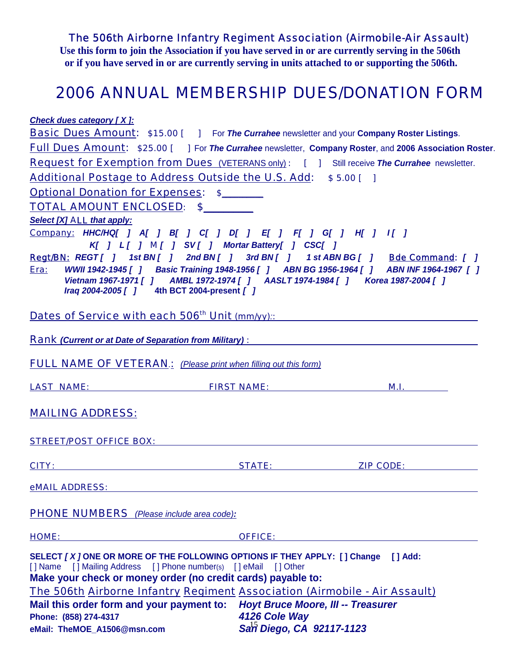*The 506th Airborne Infantry Regiment Association (Airmobile-Air Assault)* 

**Use this form to join the Association if you have served in or are currently serving in the 506th or if you have served in or are currently serving in units attached to or supporting the 506th.** 

# *2006 ANNUAL MEMBERSHIP DUES/DONATION FORM*

*Check dues category [ X ]:*

| <b>Basic Dues Amount:</b> \$15.00 [ ] For The Currahee newsletter and your Company Roster Listings.                                                                                                                                   |                                           |                                                                                                                                                                                                                                     |
|---------------------------------------------------------------------------------------------------------------------------------------------------------------------------------------------------------------------------------------|-------------------------------------------|-------------------------------------------------------------------------------------------------------------------------------------------------------------------------------------------------------------------------------------|
| <b>Full Dues Amount: \$25.00 [ ] For The Currahee newsletter, Company Roster, and 2006 Association Roster.</b>                                                                                                                        |                                           |                                                                                                                                                                                                                                     |
| <b>Request for Exemption from Dues</b> (VETERANS only): [ ] Still receive The Currahee newsletter.                                                                                                                                    |                                           |                                                                                                                                                                                                                                     |
| Additional Postage to Address Outside the U.S. Add: \$5.00 []                                                                                                                                                                         |                                           |                                                                                                                                                                                                                                     |
| <b>Optional Donation for Expenses: \$</b>                                                                                                                                                                                             |                                           |                                                                                                                                                                                                                                     |
| TOTAL AMOUNT ENCLOSED: \$                                                                                                                                                                                                             |                                           |                                                                                                                                                                                                                                     |
| Select [X] ALL that apply:                                                                                                                                                                                                            |                                           |                                                                                                                                                                                                                                     |
| <u>Company:</u> HHC/HQ[ ] A[ ] B[ ] C[ ] D[ ] E[ ] F[ ] G[ ] H[ ] I[ ]                                                                                                                                                                |                                           |                                                                                                                                                                                                                                     |
| K[ ] L[ ] M[ ] SV[ ] Mortar Battery[ ] CSC[ ]                                                                                                                                                                                         |                                           |                                                                                                                                                                                                                                     |
| Regt/BN: REGT[ ] 1st BN[ ] 2nd BN[ ] 3rd BN[ ] 1st ABN BG[ ] Bde Command: [ ]                                                                                                                                                         |                                           |                                                                                                                                                                                                                                     |
| WWII 1942-1945 [ ] Basic Training 1948-1956 [ ] ABN BG 1956-1964 [ ] ABN INF 1964-1967 [ ]<br>Era:<br>Vietnam 1967-1971 [ ] AMBL 1972-1974 [ ] AASLT 1974-1984 [ ] Korea 1987-2004 [ ]<br>Iraq 2004-2005 [ ] 4th BCT 2004-present [ ] |                                           |                                                                                                                                                                                                                                     |
| Dates of Service with each 506 <sup>th</sup> Unit (mm/yy):                                                                                                                                                                            |                                           |                                                                                                                                                                                                                                     |
| <b>Rank</b> (Current or at Date of Separation from Military) :                                                                                                                                                                        |                                           |                                                                                                                                                                                                                                     |
| <b>FULL NAME OF VETERAN</b> : (Please print when filling out this form)                                                                                                                                                               |                                           |                                                                                                                                                                                                                                     |
| <b>LAST NAME:</b> FIRST NAME: FIRST NAME:                                                                                                                                                                                             |                                           | <b>M.I.</b> The contract of the contract of the contract of the contract of the contract of the contract of the contract of the contract of the contract of the contract of the contract of the contract of the contract of the con |
| <b>MAILING ADDRESS:</b>                                                                                                                                                                                                               |                                           |                                                                                                                                                                                                                                     |
| <b>STREET/POST OFFICE BOX:</b>                                                                                                                                                                                                        |                                           |                                                                                                                                                                                                                                     |
| <b>CITY:</b> STATE:                                                                                                                                                                                                                   |                                           | <b>ZIP CODE:</b> Note that the same of the same of the same of the same of the same of the same of the same of the same of the same of the same of the same of the same of the same of the same of the same of the same of the same |
| <b>eMAIL ADDRESS:</b> the contract of the contract of the contract of the contract of the contract of the contract of the contract of the contract of the contract of the contract of the contract of the contract of the contract    |                                           |                                                                                                                                                                                                                                     |
| <b>PHONE NUMBERS</b> (Please include area code):                                                                                                                                                                                      |                                           |                                                                                                                                                                                                                                     |
| <b>HOME:</b>                                                                                                                                                                                                                          | <b>OFFICE:</b>                            |                                                                                                                                                                                                                                     |
| SELECT [X ] ONE OR MORE OF THE FOLLOWING OPTIONS IF THEY APPLY: [] Change<br>[] Name [] Mailing Address [] Phone number(s) [] eMail [] Other<br>Make your check or money order (no credit cards) payable to:                          |                                           | $\blacksquare$ $\blacksquare$ $\blacksquare$ $\blacksquare$                                                                                                                                                                         |
| The 506th Airborne Infantry Regiment Association (Airmobile - Air Assault)                                                                                                                                                            |                                           |                                                                                                                                                                                                                                     |
| Mail this order form and your payment to:                                                                                                                                                                                             | <b>Hoyt Bruce Moore, III -- Treasurer</b> |                                                                                                                                                                                                                                     |
| Phone: (858) 274-4317                                                                                                                                                                                                                 | 4126 Cole Way                             |                                                                                                                                                                                                                                     |
| eMail: TheMOE_A1506@msn.com                                                                                                                                                                                                           | San Diego, CA 92117-1123                  |                                                                                                                                                                                                                                     |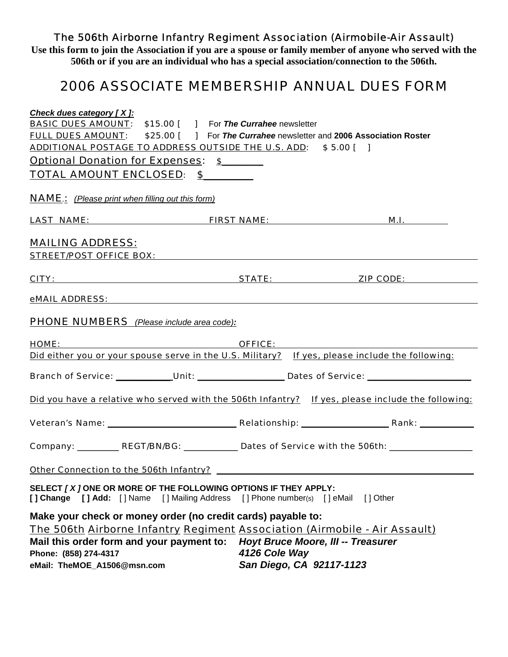### *The 506th Airborne Infantry Regiment Association (Airmobile-Air Assault)*

**Use this form to join the Association if you are a spouse or family member of anyone who served with the 506th or if you are an individual who has a special association/connection to the 506th.** 

# *2006 ASSOCIATE MEMBERSHIP ANNUAL DUES FORM*

| Check dues category [X]:                                           |                                                                                                                                             |                                                                                                     |
|--------------------------------------------------------------------|---------------------------------------------------------------------------------------------------------------------------------------------|-----------------------------------------------------------------------------------------------------|
|                                                                    | <b>BASIC DUES AMOUNT:</b> \$15.00 [ ] For The Currahee newsletter                                                                           |                                                                                                     |
|                                                                    | <b>FULL DUES AMOUNT:</b> \$25.00 [ ] For The Currahee newsletter and 2006 Association Roster                                                |                                                                                                     |
|                                                                    | ADDITIONAL POSTAGE TO ADDRESS OUTSIDE THE U.S. ADD: \$5.00 [ ]                                                                              |                                                                                                     |
| <u><b>Optional Donation for Expenses: \$</b>______</u>             |                                                                                                                                             |                                                                                                     |
| TOTAL AMOUNT ENCLOSED: \$                                          |                                                                                                                                             |                                                                                                     |
| <b>NAME</b> : (Please print when filling out this form)            |                                                                                                                                             |                                                                                                     |
|                                                                    |                                                                                                                                             |                                                                                                     |
| <b>MAILING ADDRESS:</b>                                            | STREET/POST OFFICE BOX: National Contract of the STREET/POST OFFICE BOX:                                                                    |                                                                                                     |
|                                                                    |                                                                                                                                             |                                                                                                     |
|                                                                    |                                                                                                                                             | <u>CITY: STATE: ZIP CODE:</u>                                                                       |
|                                                                    |                                                                                                                                             |                                                                                                     |
| <b>PHONE NUMBERS</b> (Please include area code):                   |                                                                                                                                             |                                                                                                     |
|                                                                    | <u>HOME: CHANGE CHANGE CHANGE CHANGE CHANGE</u>                                                                                             |                                                                                                     |
|                                                                    |                                                                                                                                             | Did either you or your spouse serve in the U.S. Military? If yes, please include the following:     |
|                                                                    |                                                                                                                                             | Branch of Service: ___________Unit: ____________________Dates of Service: _________________________ |
|                                                                    |                                                                                                                                             | Did you have a relative who served with the 506th Infantry? If yes, please include the following:   |
|                                                                    |                                                                                                                                             |                                                                                                     |
|                                                                    |                                                                                                                                             | Company: ___________REGT/BN/BG: ______________Dates of Service with the 506th: ____________________ |
|                                                                    |                                                                                                                                             |                                                                                                     |
|                                                                    | SELECT [X ] ONE OR MORE OF THE FOLLOWING OPTIONS IF THEY APPLY:<br>[] Change [] Add: [] Name [] Mailing Address [] Phone number(s) [] eMail | [] Other                                                                                            |
|                                                                    | Make your check or money order (no credit cards) payable to:                                                                                |                                                                                                     |
|                                                                    | <b>The 506th Airborne Infantry Regiment Association (Airmobile - Air Assault)</b>                                                           |                                                                                                     |
| Mail this order form and your payment to:<br>Phone: (858) 274-4317 | 4126 Cole Way                                                                                                                               | <b>Hoyt Bruce Moore, III -- Treasurer</b>                                                           |
| eMail: TheMOE_A1506@msn.com                                        | San Diego, CA 92117-1123                                                                                                                    |                                                                                                     |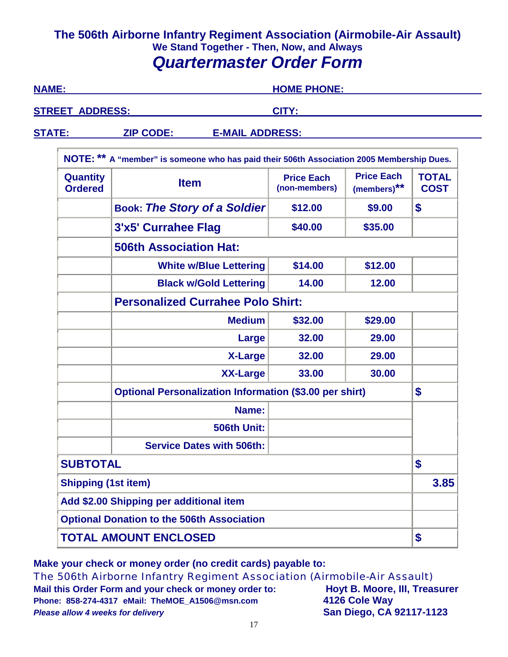### **The 506th Airborne Infantry Regiment Association (Airmobile-Air Assault) We Stand Together - Then, Now, and Always**  *Quartermaster Order Form*

| <b>NAME:</b>                                      |                                                                                           | <b>HOME PHONE:</b>                 |                                  |                             |  |
|---------------------------------------------------|-------------------------------------------------------------------------------------------|------------------------------------|----------------------------------|-----------------------------|--|
| <b>STREET ADDRESS:</b>                            |                                                                                           | <b>CITY:</b>                       |                                  |                             |  |
| <b>STATE:</b>                                     | <b>ZIP CODE:</b><br><b>E-MAIL ADDRESS:</b>                                                |                                    |                                  |                             |  |
|                                                   | NOTE: ** A "member" is someone who has paid their 506th Association 2005 Membership Dues. |                                    |                                  |                             |  |
| <b>Quantity</b><br><b>Ordered</b>                 | <b>Item</b>                                                                               | <b>Price Each</b><br>(non-members) | <b>Price Each</b><br>(members)** | <b>TOTAL</b><br><b>COST</b> |  |
|                                                   | <b>Book: The Story of a Soldier</b>                                                       | \$12.00                            | \$9.00                           | \$                          |  |
|                                                   | 3'x5' Currahee Flag                                                                       | \$40.00                            | \$35.00                          |                             |  |
|                                                   | <b>506th Association Hat:</b>                                                             |                                    |                                  |                             |  |
|                                                   | <b>White w/Blue Lettering</b>                                                             | \$14.00                            | \$12.00                          |                             |  |
|                                                   | <b>Black w/Gold Lettering</b><br>14.00<br>12.00                                           |                                    |                                  |                             |  |
|                                                   | <b>Personalized Currahee Polo Shirt:</b>                                                  |                                    |                                  |                             |  |
|                                                   | <b>Medium</b>                                                                             | \$32.00                            | \$29.00                          |                             |  |
|                                                   | Large                                                                                     | 32.00                              | 29.00                            |                             |  |
|                                                   | <b>X-Large</b>                                                                            | 32.00                              | 29.00                            |                             |  |
|                                                   | <b>XX-Large</b>                                                                           | 33.00                              | 30.00                            |                             |  |
|                                                   | <b>Optional Personalization Information (\$3.00 per shirt)</b>                            |                                    |                                  |                             |  |
|                                                   | Name:                                                                                     |                                    |                                  |                             |  |
|                                                   | 506th Unit:                                                                               |                                    |                                  |                             |  |
| <b>Service Dates with 506th:</b>                  |                                                                                           |                                    |                                  |                             |  |
|                                                   | <b>SUBTOTAL</b>                                                                           |                                    |                                  | \$                          |  |
| <b>Shipping (1st item)</b>                        |                                                                                           |                                    |                                  | 3.85                        |  |
| Add \$2.00 Shipping per additional item           |                                                                                           |                                    |                                  |                             |  |
| <b>Optional Donation to the 506th Association</b> |                                                                                           |                                    |                                  |                             |  |
|                                                   | <b>TOTAL AMOUNT ENCLOSED</b>                                                              |                                    |                                  | \$                          |  |

**Make your check or money order (no credit cards) payable to:** *The 506th Airborne Infantry Regiment Association (Airmobile-Air Assault)*  Mail this Order Form and your check or money order to: **Hoyt B. Moore, III, Treasurer**<br>Phone: 858-274-4317 eMail: TheMOE\_A1506@msn.com **4126 Cole Way Phone: 858-274-4317 eMail: TheMOE\_A1506@msn.com 4126 Cole Way** *Please allow 4 weeks for delivery* **San Diego, CA 92117-1123**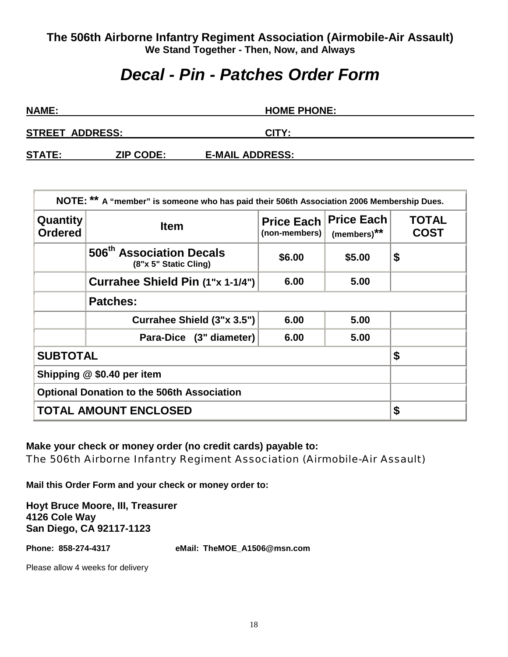# *Decal - Pin - Patches Order Form*

| <b>NAME:</b>           |                  | <b>HOME PHONE:</b>     |  |  |
|------------------------|------------------|------------------------|--|--|
| <b>STREET ADDRESS:</b> |                  | CITY:                  |  |  |
| <b>STATE:</b>          | <b>ZIP CODE:</b> | <b>E-MAIL ADDRESS:</b> |  |  |

| NOTE: ** A "member" is someone who has paid their 506th Association 2006 Membership Dues. |                                                               |                                    |                                              |                             |
|-------------------------------------------------------------------------------------------|---------------------------------------------------------------|------------------------------------|----------------------------------------------|-----------------------------|
| Quantity<br><b>Ordered</b>                                                                | <b>Item</b>                                                   | <b>Price Each</b><br>(non-members) | <b>Price Each</b><br>(members) <sup>**</sup> | <b>TOTAL</b><br><b>COST</b> |
|                                                                                           | 506 <sup>th</sup> Association Decals<br>(8"x 5" Static Cling) | \$6.00                             | \$5.00                                       | \$                          |
|                                                                                           |                                                               |                                    |                                              |                             |
|                                                                                           |                                                               |                                    |                                              |                             |
|                                                                                           | Currahee Shield (3"x 3.5")                                    | 6.00                               | 5.00                                         |                             |
|                                                                                           | Para-Dice (3" diameter)                                       | 6.00                               | 5.00                                         |                             |
| <b>SUBTOTAL</b>                                                                           |                                                               |                                    |                                              | \$                          |
| Shipping @ \$0.40 per item                                                                |                                                               |                                    |                                              |                             |
| <b>Optional Donation to the 506th Association</b>                                         |                                                               |                                    |                                              |                             |
| <b>TOTAL AMOUNT ENCLOSED</b>                                                              |                                                               |                                    |                                              | \$                          |

**Make your check or money order (no credit cards) payable to:**  *The 506th Airborne Infantry Regiment Association (Airmobile-Air Assault)* 

**Mail this Order Form and your check or money order to:** 

**Hoyt Bruce Moore, III, Treasurer 4126 Cole Way San Diego, CA 92117-1123**

**Phone: 858-274-4317 eMail: TheMOE\_A1506@msn.com** 

Please allow 4 weeks for delivery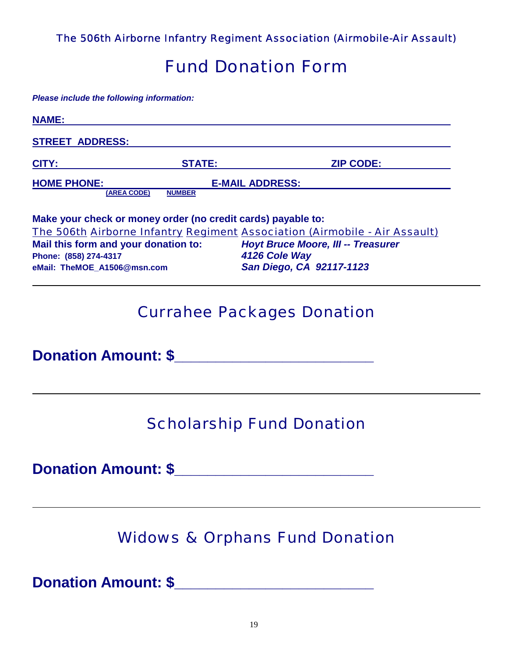*The 506th Airborne Infantry Regiment Association (Airmobile-Air Assault)* 

# *Fund Donation Form*

*Please include the following information:* 

| <b>NAME:</b>                                                                                                                                                 |               |                                                                                                                                                                      |
|--------------------------------------------------------------------------------------------------------------------------------------------------------------|---------------|----------------------------------------------------------------------------------------------------------------------------------------------------------------------|
| <b>STREET ADDRESS:</b>                                                                                                                                       |               |                                                                                                                                                                      |
| CITY:                                                                                                                                                        | <b>STATE:</b> | <b>ZIP CODE:</b>                                                                                                                                                     |
| <b>HOME PHONE:</b><br>(AREA CODE)                                                                                                                            | <b>NUMBER</b> | <b>E-MAIL ADDRESS:</b>                                                                                                                                               |
| Make your check or money order (no credit cards) payable to:<br>Mail this form and your donation to:<br>Phone: (858) 274-4317<br>eMail: TheMOE A1506@msn.com |               | The 506th Airborne Infantry Regiment Association (Airmobile - Air Assault)<br><b>Hoyt Bruce Moore, III -- Treasurer</b><br>4126 Cole Way<br>San Diego, CA 92117-1123 |

# *Currahee Packages Donation*

**Donation Amount: \$\_\_\_\_\_\_\_\_\_\_\_\_\_\_\_\_\_\_\_\_\_\_\_\_** 

# *Scholarship Fund Donation*

**Donation Amount: \$\_\_\_\_\_\_\_\_\_\_\_\_\_\_\_\_\_\_\_\_\_\_\_\_** 

# *Widows & Orphans Fund Donation*

**Donation Amount: \$\_\_\_\_\_\_\_\_\_\_\_\_\_\_\_\_\_\_\_\_\_\_\_\_**